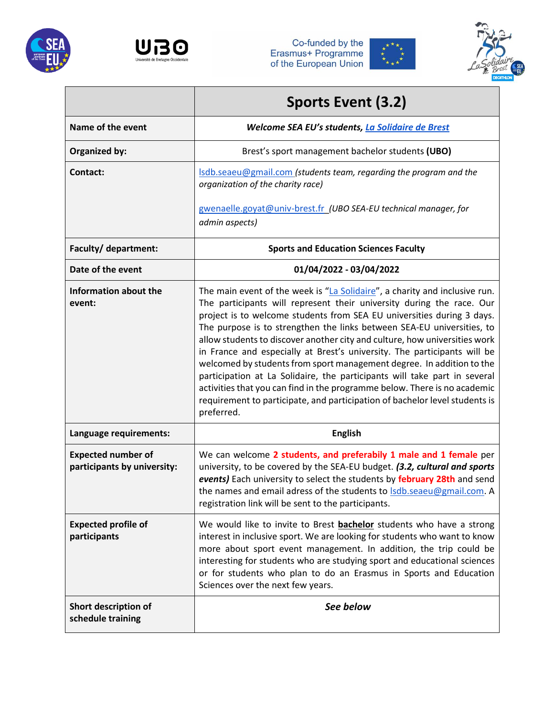







|                                                          | Sports Event (3.2)                                                                                                                                                                                                                                                                                                                                                                                                                                                                                                                                                                                                                                                                                                                                                                                |  |  |  |  |
|----------------------------------------------------------|---------------------------------------------------------------------------------------------------------------------------------------------------------------------------------------------------------------------------------------------------------------------------------------------------------------------------------------------------------------------------------------------------------------------------------------------------------------------------------------------------------------------------------------------------------------------------------------------------------------------------------------------------------------------------------------------------------------------------------------------------------------------------------------------------|--|--|--|--|
| Name of the event                                        | Welcome SEA EU's students, La Solidaire de Brest                                                                                                                                                                                                                                                                                                                                                                                                                                                                                                                                                                                                                                                                                                                                                  |  |  |  |  |
| Organized by:                                            | Brest's sport management bachelor students (UBO)                                                                                                                                                                                                                                                                                                                                                                                                                                                                                                                                                                                                                                                                                                                                                  |  |  |  |  |
| Contact:                                                 | Isdb.seaeu@gmail.com (students team, regarding the program and the<br>organization of the charity race)                                                                                                                                                                                                                                                                                                                                                                                                                                                                                                                                                                                                                                                                                           |  |  |  |  |
|                                                          | gwenaelle.goyat@univ-brest.fr (UBO SEA-EU technical manager, for<br>admin aspects)                                                                                                                                                                                                                                                                                                                                                                                                                                                                                                                                                                                                                                                                                                                |  |  |  |  |
| Faculty/ department:                                     | <b>Sports and Education Sciences Faculty</b>                                                                                                                                                                                                                                                                                                                                                                                                                                                                                                                                                                                                                                                                                                                                                      |  |  |  |  |
| Date of the event                                        | 01/04/2022 - 03/04/2022                                                                                                                                                                                                                                                                                                                                                                                                                                                                                                                                                                                                                                                                                                                                                                           |  |  |  |  |
| Information about the<br>event:                          | The main event of the week is "La Solidaire", a charity and inclusive run.<br>The participants will represent their university during the race. Our<br>project is to welcome students from SEA EU universities during 3 days.<br>The purpose is to strengthen the links between SEA-EU universities, to<br>allow students to discover another city and culture, how universities work<br>in France and especially at Brest's university. The participants will be<br>welcomed by students from sport management degree. In addition to the<br>participation at La Solidaire, the participants will take part in several<br>activities that you can find in the programme below. There is no academic<br>requirement to participate, and participation of bachelor level students is<br>preferred. |  |  |  |  |
| Language requirements:                                   | <b>English</b>                                                                                                                                                                                                                                                                                                                                                                                                                                                                                                                                                                                                                                                                                                                                                                                    |  |  |  |  |
| <b>Expected number of</b><br>participants by university: | We can welcome 2 students, and preferabily 1 male and 1 female per<br>university, to be covered by the SEA-EU budget. (3.2, cultural and sports<br>events) Each university to select the students by february 28th and send<br>the names and email adress of the students to Isdb.seaeu@gmail.com. A<br>registration link will be sent to the participants.                                                                                                                                                                                                                                                                                                                                                                                                                                       |  |  |  |  |
| <b>Expected profile of</b><br>participants               | We would like to invite to Brest bachelor students who have a strong<br>interest in inclusive sport. We are looking for students who want to know<br>more about sport event management. In addition, the trip could be<br>interesting for students who are studying sport and educational sciences<br>or for students who plan to do an Erasmus in Sports and Education<br>Sciences over the next few years.                                                                                                                                                                                                                                                                                                                                                                                      |  |  |  |  |
| Short description of<br>schedule training                | See below                                                                                                                                                                                                                                                                                                                                                                                                                                                                                                                                                                                                                                                                                                                                                                                         |  |  |  |  |